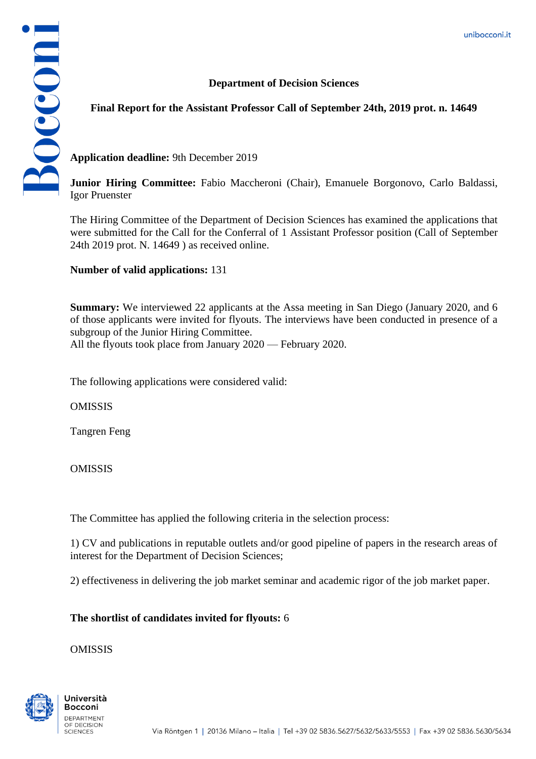## **Department of Decision Sciences**



## **Final Report for the Assistant Professor Call of September 24th, 2019 prot. n. 14649**

**Application deadline:** 9th December 2019

**Junior Hiring Committee:** Fabio Maccheroni (Chair), Emanuele Borgonovo, Carlo Baldassi, Igor Pruenster

The Hiring Committee of the Department of Decision Sciences has examined the applications that were submitted for the Call for the Conferral of 1 Assistant Professor position (Call of September 24th 2019 prot. N. 14649 ) as received online.

**Number of valid applications:** 131

**Summary:** We interviewed 22 applicants at the Assa meeting in San Diego (January 2020, and 6 of those applicants were invited for flyouts. The interviews have been conducted in presence of a subgroup of the Junior Hiring Committee. All the flyouts took place from January 2020 — February 2020.

The following applications were considered valid:

OMISSIS

Tangren Feng

**OMISSIS** 

The Committee has applied the following criteria in the selection process:

1) CV and publications in reputable outlets and/or good pipeline of papers in the research areas of interest for the Department of Decision Sciences;

2) effectiveness in delivering the job market seminar and academic rigor of the job market paper.

## **The shortlist of candidates invited for flyouts:** 6

OMISSIS

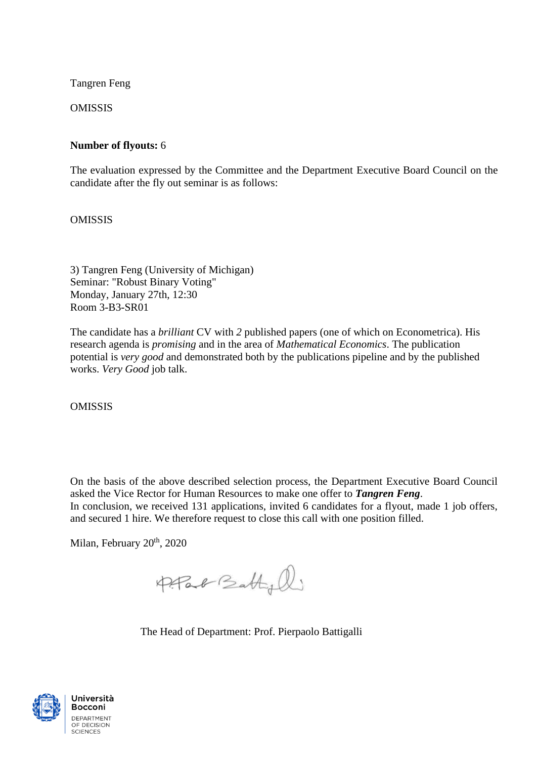Tangren Feng

OMISSIS

## **Number of flyouts:** 6

The evaluation expressed by the Committee and the Department Executive Board Council on the candidate after the fly out seminar is as follows:

OMISSIS

3) Tangren Feng (University of Michigan) Seminar: "Robust Binary Voting" Monday, January 27th, 12:30 Room 3-B3-SR01

The candidate has a *brilliant* CV with *2* published papers (one of which on Econometrica). His research agenda is *promising* and in the area of *Mathematical Economics*. The publication potential is *very good* and demonstrated both by the publications pipeline and by the published works. *Very Good* job talk.

OMISSIS

On the basis of the above described selection process, the Department Executive Board Council asked the Vice Rector for Human Resources to make one offer to *Tangren Feng*. In conclusion, we received 131 applications, invited 6 candidates for a flyout, made 1 job offers, and secured 1 hire. We therefore request to close this call with one position filled.

Milan, February 20<sup>th</sup>, 2020

Pfac Battyl

The Head of Department: Prof. Pierpaolo Battigalli



Università **Bocconi** DEPARTMENT OF DECISION **SCIENCES**